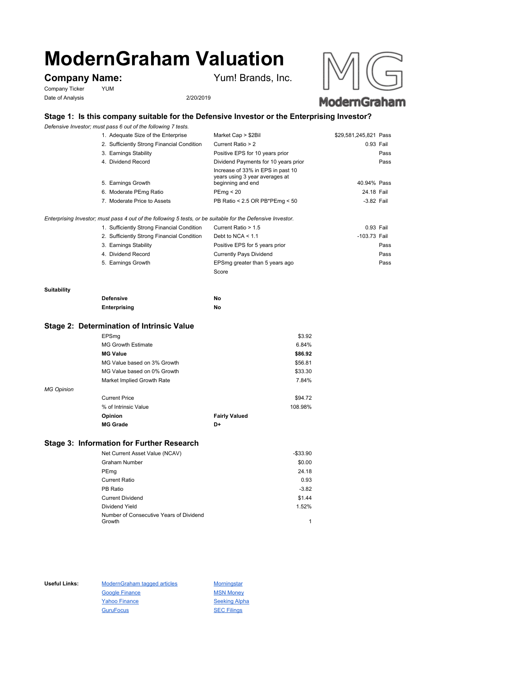# **ModernGraham Valuation**

# **Company Name:** Yum! Brands, Inc.

Company Ticker YUM Date of Analysis 2/20/2019





## **Stage 1: Is this company suitable for the Defensive Investor or the Enterprising Investor?**

*Defensive Investor; must pass 6 out of the following 7 tests.*

| 1. Adequate Size of the Enterprise                                                                          | Market Cap > \$2Bil                                                                      | \$29,581,245,821 Pass |
|-------------------------------------------------------------------------------------------------------------|------------------------------------------------------------------------------------------|-----------------------|
| 2. Sufficiently Strong Financial Condition                                                                  | Current Ratio > 2                                                                        | 0.93 Fail             |
| 3. Earnings Stability                                                                                       | Positive EPS for 10 years prior                                                          | Pass                  |
| 4. Dividend Record                                                                                          | Dividend Payments for 10 years prior                                                     | Pass                  |
| 5. Earnings Growth                                                                                          | Increase of 33% in EPS in past 10<br>years using 3 year averages at<br>beginning and end | 40.94% Pass           |
| 6. Moderate PEmg Ratio                                                                                      | PEmg < 20                                                                                | 24.18 Fail            |
| 7. Moderate Price to Assets                                                                                 | PB Ratio < 2.5 OR PB*PEmg < 50                                                           | -3.82 Fail            |
| Enterprising Investor; must pass 4 out of the following 5 tests, or be suitable for the Defensive Investor. |                                                                                          |                       |
| $\triangle$ Cufficiently Ctrong Financial Condition Current Datio $\leq$ 4.5                                |                                                                                          | $0.02$ $F2$           |

| 1. Sufficiently Strong Financial Condition | Current Ratio > 1.5            | 0.93 Fail    |
|--------------------------------------------|--------------------------------|--------------|
| 2. Sufficiently Strong Financial Condition | Debt to NCA $<$ 1.1            | -103.73 Fail |
| 3. Earnings Stability                      | Positive EPS for 5 years prior | Pass         |
| 4. Dividend Record                         | <b>Currently Pays Dividend</b> | Pass         |
| 5. Earnings Growth                         | EPSmg greater than 5 years ago | Pass         |
|                                            | Score                          |              |

#### **Suitability**

| <b>Defensive</b> | No |
|------------------|----|
| Enterprising     | No |

#### **Stage 2: Determination of Intrinsic Value**

|                   | EPSmg                       |                      | \$3.92  |
|-------------------|-----------------------------|----------------------|---------|
|                   | <b>MG Growth Estimate</b>   |                      | 6.84%   |
|                   | <b>MG Value</b>             |                      | \$86.92 |
|                   | MG Value based on 3% Growth |                      | \$56.81 |
|                   | MG Value based on 0% Growth |                      | \$33.30 |
|                   | Market Implied Growth Rate  |                      | 7.84%   |
| <b>MG Opinion</b> |                             |                      |         |
|                   | <b>Current Price</b>        |                      | \$94.72 |
|                   | % of Intrinsic Value        |                      | 108.98% |
|                   | Opinion                     | <b>Fairly Valued</b> |         |
|                   | <b>MG Grade</b>             | D+                   |         |
|                   |                             |                      |         |

### **Stage 3: Information for Further Research**

| Net Current Asset Value (NCAV)          | $-$33.90$ |
|-----------------------------------------|-----------|
| Graham Number                           | \$0.00    |
| PEmg                                    | 24.18     |
| Current Ratio                           | 0.93      |
| PB Ratio                                | $-3.82$   |
| <b>Current Dividend</b>                 | \$1.44    |
| Dividend Yield                          | 1.52%     |
| Number of Consecutive Years of Dividend |           |
| Growth                                  |           |

Useful Links: ModernGraham tagged articles Morningstar Google Finance MSN Money Yahoo Finance Seeking Alpha GuruFocus SEC Filings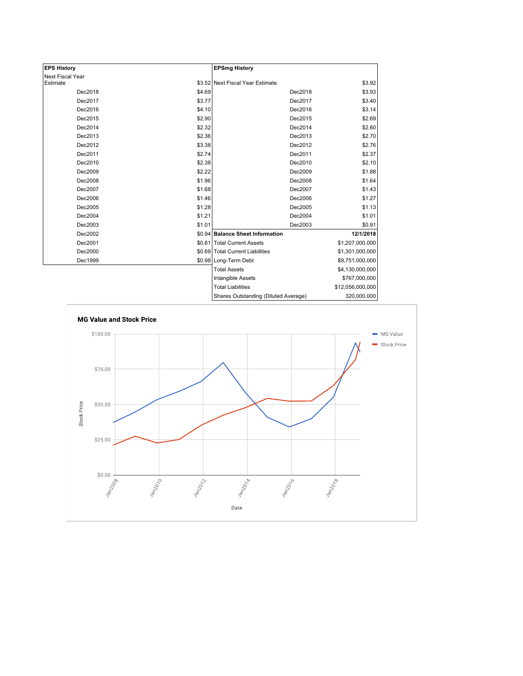| <b>EPS History</b> |        | <b>EPSmg History</b>                 |                  |
|--------------------|--------|--------------------------------------|------------------|
| Next Fiscal Year   |        |                                      |                  |
| Estimate           |        | \$3.52 Next Fiscal Year Estimate     | \$3.92           |
| Dec2018            | \$4.69 | Dec2018                              | \$3.93           |
| Dec2017            | \$3.77 | Dec2017                              | \$3.40           |
| Dec2016            | \$4.10 | Dec2016                              | \$3.14           |
| Dec2015            | \$2.90 | Dec2015                              | \$2.69           |
| Dec2014            | \$2.32 | Dec2014                              | \$2.60           |
| Dec2013            | \$2.36 | Dec2013                              | \$2.70           |
| Dec2012            | \$3.38 | Dec2012                              | \$2.76           |
| Dec2011            | \$2.74 | Dec2011                              | \$2.37           |
| Dec2010            | \$2.38 | Dec2010                              | \$2.10           |
| Dec2009            | \$2.22 | Dec2009                              | \$1.88           |
| Dec2008            | \$1.96 | Dec2008                              | \$1.64           |
| Dec2007            | \$1.68 | Dec2007                              | \$1.43           |
| Dec2006            | \$1.46 | Dec2006                              | \$1.27           |
| Dec2005            | \$1.28 | Dec2005                              | \$1.13           |
| Dec2004            | \$1.21 | Dec2004                              | \$1.01           |
| Dec2003            | \$1.01 | Dec2003                              | \$0.91           |
| Dec2002            |        | \$0.94 Balance Sheet Information     | 12/1/2018        |
| Dec2001            |        | \$0.81   Total Current Assets        | \$1,207,000,000  |
| Dec2000            |        | \$0.69 Total Current Liabilities     | \$1,301,000,000  |
| Dec1999            |        | \$0.98 Long-Term Debt                | \$9,751,000,000  |
|                    |        | <b>Total Assets</b>                  | \$4,130,000,000  |
|                    |        | Intangible Assets                    | \$767,000,000    |
|                    |        | <b>Total Liabilities</b>             | \$12,056,000,000 |
|                    |        | Shares Outstanding (Diluted Average) | 320 UUU UUU      |